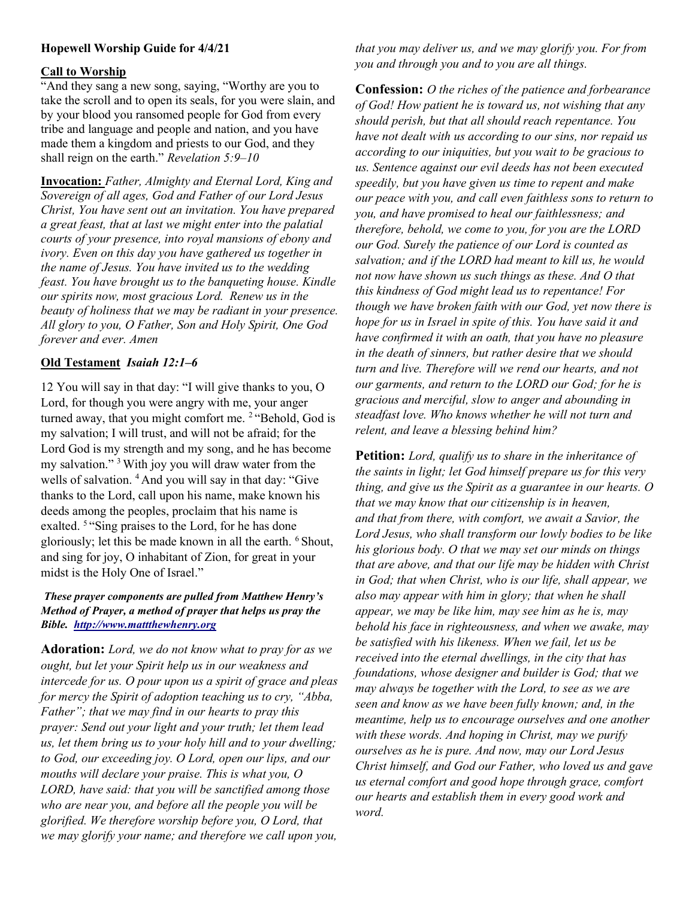# Hopewell Worship Guide for 4/4/21

### Call to Worship

"And they sang a new song, saying, "Worthy are you to take the scroll and to open its seals, for you were slain, and by your blood you ransomed people for God from every tribe and language and people and nation, and you have made them a kingdom and priests to our God, and they shall reign on the earth." Revelation 5:9–10

Invocation: Father, Almighty and Eternal Lord, King and Sovereign of all ages, God and Father of our Lord Jesus Christ, You have sent out an invitation. You have prepared a great feast, that at last we might enter into the palatial courts of your presence, into royal mansions of ebony and ivory. Even on this day you have gathered us together in the name of Jesus. You have invited us to the wedding feast. You have brought us to the banqueting house. Kindle our spirits now, most gracious Lord. Renew us in the beauty of holiness that we may be radiant in your presence. All glory to you, O Father, Son and Holy Spirit, One God forever and ever. Amen

### Old Testament Isaiah 12:1–6

12 You will say in that day: "I will give thanks to you, O Lord, for though you were angry with me, your anger turned away, that you might comfort me. <sup>2</sup> "Behold, God is my salvation; I will trust, and will not be afraid; for the Lord God is my strength and my song, and he has become my salvation." <sup>3</sup>With joy you will draw water from the wells of salvation. <sup>4</sup> And you will say in that day: "Give thanks to the Lord, call upon his name, make known his deeds among the peoples, proclaim that his name is exalted. <sup>5 "</sup>Sing praises to the Lord, for he has done gloriously; let this be made known in all the earth. <sup>6</sup> Shout, and sing for joy, O inhabitant of Zion, for great in your midst is the Holy One of Israel."

#### These prayer components are pulled from Matthew Henry's Method of Prayer, a method of prayer that helps us pray the Bible. http://www.mattthewhenry.org

Adoration: Lord, we do not know what to pray for as we ought, but let your Spirit help us in our weakness and intercede for us. O pour upon us a spirit of grace and pleas for mercy the Spirit of adoption teaching us to cry, "Abba, Father"; that we may find in our hearts to pray this prayer: Send out your light and your truth; let them lead us, let them bring us to your holy hill and to your dwelling; to God, our exceeding joy. O Lord, open our lips, and our mouths will declare your praise. This is what you, O LORD, have said: that you will be sanctified among those who are near you, and before all the people you will be glorified. We therefore worship before you, O Lord, that we may glorify your name; and therefore we call upon you,

that you may deliver us, and we may glorify you. For from you and through you and to you are all things.

**Confession:** O the riches of the patience and forbearance of God! How patient he is toward us, not wishing that any should perish, but that all should reach repentance. You have not dealt with us according to our sins, nor repaid us according to our iniquities, but you wait to be gracious to us. Sentence against our evil deeds has not been executed speedily, but you have given us time to repent and make our peace with you, and call even faithless sons to return to you, and have promised to heal our faithlessness; and therefore, behold, we come to you, for you are the LORD our God. Surely the patience of our Lord is counted as salvation; and if the LORD had meant to kill us, he would not now have shown us such things as these. And O that this kindness of God might lead us to repentance! For though we have broken faith with our God, yet now there is hope for us in Israel in spite of this. You have said it and have confirmed it with an oath, that you have no pleasure in the death of sinners, but rather desire that we should turn and live. Therefore will we rend our hearts, and not our garments, and return to the LORD our God; for he is gracious and merciful, slow to anger and abounding in steadfast love. Who knows whether he will not turn and relent, and leave a blessing behind him?

**Petition:** Lord, qualify us to share in the inheritance of the saints in light; let God himself prepare us for this very thing, and give us the Spirit as a guarantee in our hearts. O that we may know that our citizenship is in heaven, and that from there, with comfort, we await a Savior, the Lord Jesus, who shall transform our lowly bodies to be like his glorious body. O that we may set our minds on things that are above, and that our life may be hidden with Christ in God; that when Christ, who is our life, shall appear, we also may appear with him in glory; that when he shall appear, we may be like him, may see him as he is, may behold his face in righteousness, and when we awake, may be satisfied with his likeness. When we fail, let us be received into the eternal dwellings, in the city that has foundations, whose designer and builder is God; that we may always be together with the Lord, to see as we are seen and know as we have been fully known; and, in the meantime, help us to encourage ourselves and one another with these words. And hoping in Christ, may we purify ourselves as he is pure. And now, may our Lord Jesus Christ himself, and God our Father, who loved us and gave us eternal comfort and good hope through grace, comfort our hearts and establish them in every good work and word.